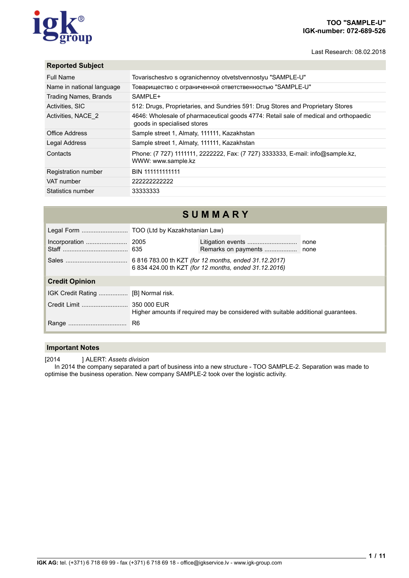# roup

## **TOO "SAMPLE-U" IGK-number: 072-689-526**

Last Research: 08.02.2018

## **Reported Subject**

| <b>Full Name</b>             | Tovarischestvo s ogranichennoy otvetstvennostyu "SAMPLE-U"                                                          |
|------------------------------|---------------------------------------------------------------------------------------------------------------------|
| Name in national language    | Товарищество с ограниченной ответственностью "SAMPLE-U"                                                             |
| <b>Trading Names, Brands</b> | SAMPLE+                                                                                                             |
| Activities, SIC              | 512: Drugs, Proprietaries, and Sundries 591: Drug Stores and Proprietary Stores                                     |
| Activities, NACE 2           | 4646: Wholesale of pharmaceutical goods 4774: Retail sale of medical and orthopaedic<br>goods in specialised stores |
| Office Address               | Sample street 1, Almaty, 111111, Kazakhstan                                                                         |
| Legal Address                | Sample street 1, Almaty, 111111, Kazakhstan                                                                         |
| Contacts                     | Phone: (7 727) 1111111, 2222222, Fax: (7 727) 3333333, E-mail: info@sample.kz,<br>WWW: www.sample.kz                |
| Registration number          | BIN 111111111111                                                                                                    |
| VAT number                   | 222222222222                                                                                                        |
| Statistics number            | 33333333                                                                                                            |

## **S U M M A R Y**

|                       | 6 834 424.00 th KZT (for 12 months, ended 31.12.2016)                             |  |  |  |
|-----------------------|-----------------------------------------------------------------------------------|--|--|--|
| <b>Credit Opinion</b> |                                                                                   |  |  |  |
|                       |                                                                                   |  |  |  |
|                       | Higher amounts if required may be considered with suitable additional quarantees. |  |  |  |
|                       | R <sub>6</sub>                                                                    |  |  |  |

### **Important Notes**

[2014 ] ALERT: *Assets division*

In 2014 the company separated a part of business into a new structure - TOO SAMPLE-2. Separation was made to optimise the business operation. New company SAMPLE-2 took over the logistic activity.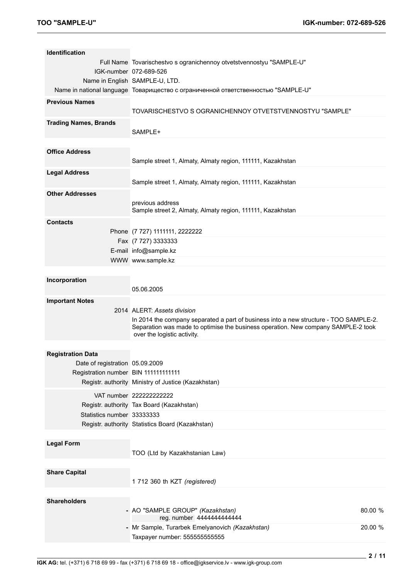| <b>Identification</b>                |                                                                                                                                                                                                                                          |
|--------------------------------------|------------------------------------------------------------------------------------------------------------------------------------------------------------------------------------------------------------------------------------------|
|                                      | Full Name Tovarischestvo s ogranichennoy otvetstvennostyu "SAMPLE-U"                                                                                                                                                                     |
|                                      | IGK-number 072-689-526                                                                                                                                                                                                                   |
|                                      | Name in English SAMPLE-U, LTD.                                                                                                                                                                                                           |
|                                      | Name in national language Товарищество с ограниченной ответственностью "SAMPLE-U"                                                                                                                                                        |
| <b>Previous Names</b>                | TOVARISCHESTVO S OGRANICHENNOY OTVETSTVENNOSTYU "SAMPLE"                                                                                                                                                                                 |
| <b>Trading Names, Brands</b>         | SAMPLE+                                                                                                                                                                                                                                  |
| <b>Office Address</b>                | Sample street 1, Almaty, Almaty region, 111111, Kazakhstan                                                                                                                                                                               |
| <b>Legal Address</b>                 | Sample street 1, Almaty, Almaty region, 111111, Kazakhstan                                                                                                                                                                               |
| <b>Other Addresses</b>               | previous address<br>Sample street 2, Almaty, Almaty region, 111111, Kazakhstan                                                                                                                                                           |
| <b>Contacts</b>                      |                                                                                                                                                                                                                                          |
|                                      | Phone (7 727) 1111111, 2222222                                                                                                                                                                                                           |
|                                      | Fax (7 727) 3333333                                                                                                                                                                                                                      |
|                                      | E-mail info@sample.kz                                                                                                                                                                                                                    |
|                                      | WWW www.sample.kz                                                                                                                                                                                                                        |
| Incorporation                        | 05.06.2005                                                                                                                                                                                                                               |
| <b>Important Notes</b>               | 2014 ALERT: Assets division<br>In 2014 the company separated a part of business into a new structure - TOO SAMPLE-2.<br>Separation was made to optimise the business operation. New company SAMPLE-2 took<br>over the logistic activity. |
|                                      |                                                                                                                                                                                                                                          |
| <b>Registration Data</b>             |                                                                                                                                                                                                                                          |
| Date of registration 05.09.2009      |                                                                                                                                                                                                                                          |
| Registration number BIN 111111111111 |                                                                                                                                                                                                                                          |
|                                      | Registr. authority Ministry of Justice (Kazakhstan)                                                                                                                                                                                      |
|                                      | VAT number 222222222222                                                                                                                                                                                                                  |
|                                      | Registr. authority Tax Board (Kazakhstan)                                                                                                                                                                                                |
| Statistics number 33333333           |                                                                                                                                                                                                                                          |
|                                      | Registr. authority Statistics Board (Kazakhstan)                                                                                                                                                                                         |
|                                      |                                                                                                                                                                                                                                          |
| <b>Legal Form</b>                    |                                                                                                                                                                                                                                          |
|                                      |                                                                                                                                                                                                                                          |
|                                      | TOO (Ltd by Kazakhstanian Law)                                                                                                                                                                                                           |
| <b>Share Capital</b>                 | 1 712 360 th KZT (registered)                                                                                                                                                                                                            |
|                                      |                                                                                                                                                                                                                                          |
| <b>Shareholders</b>                  | - AO "SAMPLE GROUP" (Kazakhstan)<br>80.00 %                                                                                                                                                                                              |
|                                      | reg. number 4444444444444<br>- Mr Sample, Turarbek Emelyanovich (Kazakhstan)<br>20.00 %<br>Taxpayer number: 555555555555                                                                                                                 |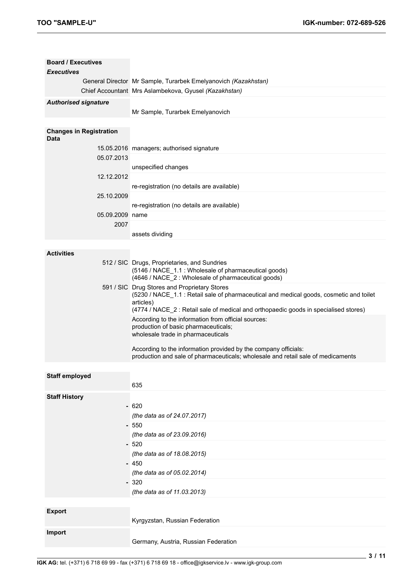| <b>Board / Executives</b><br><b>Executives</b> |                                                                                                                                                                                              |
|------------------------------------------------|----------------------------------------------------------------------------------------------------------------------------------------------------------------------------------------------|
|                                                | General Director Mr Sample, Turarbek Emelyanovich (Kazakhstan)                                                                                                                               |
|                                                | Chief Accountant Mrs Aslambekova, Gyusel (Kazakhstan)                                                                                                                                        |
| <b>Authorised signature</b>                    |                                                                                                                                                                                              |
|                                                | Mr Sample, Turarbek Emelyanovich                                                                                                                                                             |
|                                                |                                                                                                                                                                                              |
| <b>Changes in Registration</b><br><b>Data</b>  |                                                                                                                                                                                              |
|                                                | 15.05.2016 managers; authorised signature                                                                                                                                                    |
| 05.07.2013                                     |                                                                                                                                                                                              |
|                                                | unspecified changes                                                                                                                                                                          |
| 12.12.2012                                     | re-registration (no details are available)                                                                                                                                                   |
| 25.10.2009                                     |                                                                                                                                                                                              |
|                                                | re-registration (no details are available)                                                                                                                                                   |
| 05.09.2009 name                                |                                                                                                                                                                                              |
| 2007                                           |                                                                                                                                                                                              |
|                                                | assets dividing                                                                                                                                                                              |
|                                                |                                                                                                                                                                                              |
| <b>Activities</b>                              |                                                                                                                                                                                              |
|                                                | 512 / SIC Drugs, Proprietaries, and Sundries<br>(5146 / NACE_1.1 : Wholesale of pharmaceutical goods)                                                                                        |
|                                                | (4646 / NACE_2: Wholesale of pharmaceutical goods)<br>591 / SIC Drug Stores and Proprietary Stores                                                                                           |
|                                                | (5230 / NACE_1.1 : Retail sale of pharmaceutical and medical goods, cosmetic and toilet<br>articles)<br>(4774 / NACE_2 : Retail sale of medical and orthopaedic goods in specialised stores) |
|                                                | According to the information from official sources:                                                                                                                                          |
|                                                | production of basic pharmaceuticals;                                                                                                                                                         |
|                                                | wholesale trade in pharmaceuticals                                                                                                                                                           |
|                                                | According to the information provided by the company officials:                                                                                                                              |
|                                                | production and sale of pharmaceuticals; wholesale and retail sale of medicaments                                                                                                             |
|                                                |                                                                                                                                                                                              |
| <b>Staff employed</b>                          |                                                                                                                                                                                              |
|                                                | 635                                                                                                                                                                                          |
| <b>Staff History</b>                           |                                                                                                                                                                                              |
|                                                | $-620$                                                                                                                                                                                       |
|                                                | (the data as of 24.07.2017)<br>550                                                                                                                                                           |
|                                                | (the data as of 23.09.2016)                                                                                                                                                                  |
|                                                | $-520$                                                                                                                                                                                       |
|                                                | (the data as of 18.08.2015)                                                                                                                                                                  |
|                                                | $-450$                                                                                                                                                                                       |
|                                                | (the data as of 05.02.2014)                                                                                                                                                                  |
|                                                | $-320$                                                                                                                                                                                       |
|                                                | (the data as of 11.03.2013)                                                                                                                                                                  |
|                                                |                                                                                                                                                                                              |
| <b>Export</b>                                  |                                                                                                                                                                                              |
|                                                | Kyrgyzstan, Russian Federation                                                                                                                                                               |
| <b>Import</b>                                  |                                                                                                                                                                                              |
|                                                | Germany, Austria, Russian Federation                                                                                                                                                         |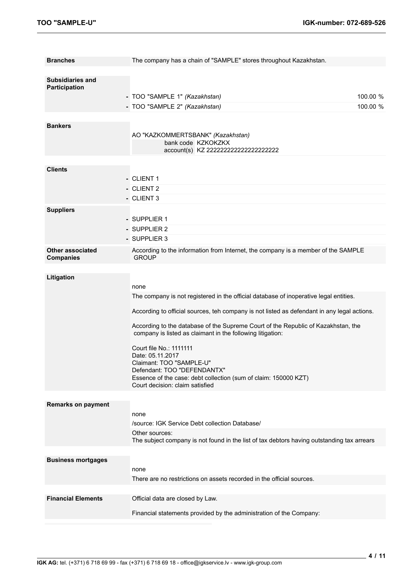| <b>Branches</b>                                 | The company has a chain of "SAMPLE" stores throughout Kazakhstan.                                                                               |                      |
|-------------------------------------------------|-------------------------------------------------------------------------------------------------------------------------------------------------|----------------------|
| <b>Subsidiaries and</b><br><b>Participation</b> | - TOO "SAMPLE 1" (Kazakhstan)<br>- TOO "SAMPLE 2" (Kazakhstan)                                                                                  | 100.00 %<br>100.00 % |
|                                                 |                                                                                                                                                 |                      |
| <b>Bankers</b>                                  | AO "KAZKOMMERTSBANK" (Kazakhstan)<br>bank code KZKOKZKX<br>account(s) KZ 222222222222222222222                                                  |                      |
|                                                 |                                                                                                                                                 |                      |
| <b>Clients</b>                                  | - CLIENT 1<br>- CLIENT 2<br>- CLIENT 3                                                                                                          |                      |
| <b>Suppliers</b>                                |                                                                                                                                                 |                      |
|                                                 | - SUPPLIER 1<br>- SUPPLIER 2<br>- SUPPLIER 3                                                                                                    |                      |
| <b>Other associated</b><br><b>Companies</b>     | According to the information from Internet, the company is a member of the SAMPLE<br><b>GROUP</b>                                               |                      |
|                                                 |                                                                                                                                                 |                      |
| Litigation                                      |                                                                                                                                                 |                      |
|                                                 | none                                                                                                                                            |                      |
|                                                 | The company is not registered in the official database of inoperative legal entities.                                                           |                      |
|                                                 | According to official sources, teh company is not listed as defendant in any legal actions.                                                     |                      |
|                                                 | According to the database of the Supreme Court of the Republic of Kazakhstan, the<br>company is listed as claimant in the following litigation: |                      |
|                                                 | Court file No.: 1111111                                                                                                                         |                      |
|                                                 | Date: 05.11.2017                                                                                                                                |                      |
|                                                 | Claimant: TOO "SAMPLE-U"<br>Defendant: TOO "DEFENDANTX"                                                                                         |                      |
|                                                 | Essence of the case: debt collection (sum of claim: 150000 KZT)                                                                                 |                      |
|                                                 | Court decision: claim satisfied                                                                                                                 |                      |
|                                                 |                                                                                                                                                 |                      |
| <b>Remarks on payment</b>                       |                                                                                                                                                 |                      |
|                                                 | none                                                                                                                                            |                      |
|                                                 | /source: IGK Service Debt collection Database/<br>Other sources:                                                                                |                      |
|                                                 | The subject company is not found in the list of tax debtors having outstanding tax arrears                                                      |                      |
|                                                 |                                                                                                                                                 |                      |
| <b>Business mortgages</b>                       | none                                                                                                                                            |                      |
|                                                 | There are no restrictions on assets recorded in the official sources.                                                                           |                      |
|                                                 |                                                                                                                                                 |                      |
| <b>Financial Elements</b>                       | Official data are closed by Law.                                                                                                                |                      |
|                                                 | Financial statements provided by the administration of the Company:                                                                             |                      |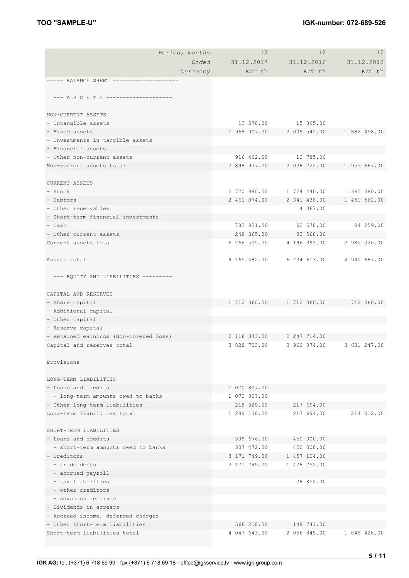| Period, months                         | 12           | 12           | $12 \overline{ }$                            |
|----------------------------------------|--------------|--------------|----------------------------------------------|
| Ended                                  | 31.12.2017   | 31.12.2016   | 31.12.2015                                   |
| Currency                               | KZT th       | KZT th       | KZT th                                       |
|                                        |              |              |                                              |
|                                        |              |              |                                              |
| --- A S S E T S ---------------------  |              |              |                                              |
| NON-CURRENT ASSETS                     |              |              |                                              |
| - Intangible assets                    | 13 578.00    | 15 895.00    |                                              |
| - Fixed assets                         | 1 968 907.00 | 2 009 542.00 | 1 882 458.00                                 |
| - Investments in tangible assets       |              |              |                                              |
| - Financial assets                     |              |              |                                              |
| - Other non-current assets             | 916 492.00   | 12 785.00    |                                              |
| Non-current assets total               | 2 898 977.00 | 2 038 222.00 | 1 955 667.00                                 |
|                                        |              |              |                                              |
| <b>CURRENT ASSETS</b>                  |              |              |                                              |
| $-$ Stock                              | 2 720 980.00 | 1 724 440.00 | 1 365 380.00                                 |
| - Debtors                              | 2 461 074.00 | 2 341 438.00 | 1 451 562.00                                 |
| - Other receivables                    |              | 4 367.00     |                                              |
| - Short-term financial investments     |              |              |                                              |
| - Cash                                 | 783 931.00   | 92 578.00    | 84 259.00                                    |
| - Other current assets                 | 248 365.00   | 33 568.00    |                                              |
| Current assets total                   | 6 266 505.00 | 4 196 391.00 | 2 985 020.00                                 |
|                                        |              |              |                                              |
| Assets total                           | 9 165 482.00 | 6 234 613.00 | 4 940 687.00                                 |
|                                        |              |              |                                              |
| --- EQUITY AND LIABILITIES ---------   |              |              |                                              |
|                                        |              |              |                                              |
| CAPITAL AND RESERVES                   |              |              |                                              |
| - Share capital                        |              |              | 1 712 360.00    1 712 360.00    1 712 360.00 |
| - Additional capital                   |              |              |                                              |
| - Other capital                        |              |              |                                              |
| - Reserve capital                      |              |              |                                              |
| - Retained earnings (Non-covered loss) | 2 116 343.00 | 2 247 714.00 |                                              |
| Capital and reserves total             | 3 828 703.00 | 3 960 074.00 | 3 681 247.00                                 |
| Provisions                             |              |              |                                              |
|                                        |              |              |                                              |
| LONG-TERM LIABILITIES                  |              |              |                                              |
| - Loans and credits                    | 1 070 807.00 |              |                                              |
| - long-term amounts owed to banks      | 1 070 807.00 |              |                                              |
| - Other long-term liabilities          | 218 329.00   | 217 694.00   |                                              |
| Long-term liabilities total            | 1 289 136.00 | 217 694.00   | 214 012.00                                   |
|                                        |              |              |                                              |
| SHORT-TERM LIABILITIES                 |              |              |                                              |
| - Loans and credits                    | 309 676.00   | 450 000.00   |                                              |
| - short-term amounts owed to banks     | 307 472.00   | 450 000.00   |                                              |
| - Creditors                            | 3 171 749.00 | 1 457 104.00 |                                              |
| - trade debts                          | 3 171 749.00 | 1 428 252.00 |                                              |
| - accrued payroll                      |              |              |                                              |
| - tax liabilities                      |              | 28 852.00    |                                              |
| - other creditors                      |              |              |                                              |
| - advances received                    |              |              |                                              |
| - Dividends in arrears                 |              |              |                                              |
| - Accrued income, deferred charges     |              |              |                                              |
| - Other short-term liabilities         | 566 218.00   | 149 741.00   |                                              |
| Short-term liabilities total           | 4 047 643.00 | 2 056 845.00 | 1 045 428.00                                 |
|                                        |              |              |                                              |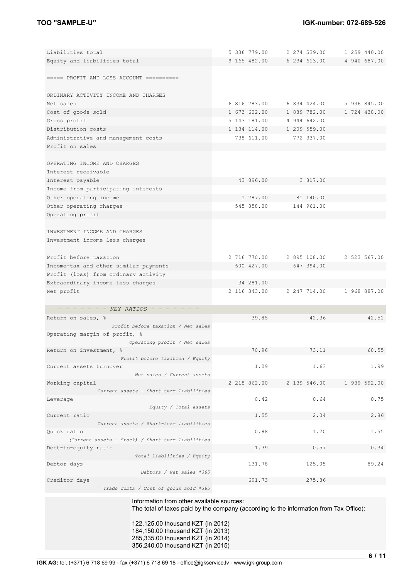| Liabilities total                                                                      | 5 336 779.00 | 2 274 539.00 | 1 259 440.00 |
|----------------------------------------------------------------------------------------|--------------|--------------|--------------|
| Equity and liabilities total                                                           | 9 165 482.00 | 6 234 613.00 | 4 940 687.00 |
|                                                                                        |              |              |              |
| $====$ PROFIT AND LOSS ACCOUNT ==========                                              |              |              |              |
|                                                                                        |              |              |              |
| ORDINARY ACTIVITY INCOME AND CHARGES                                                   |              |              |              |
| Net sales                                                                              | 6 816 783.00 | 6 834 424.00 | 5 936 845.00 |
| Cost of goods sold                                                                     | 1 673 602.00 | 1 889 782.00 | 1 724 438.00 |
| Gross profit                                                                           | 5 143 181.00 | 4 944 642.00 |              |
| Distribution costs                                                                     | 1 134 114.00 | 1 209 559.00 |              |
|                                                                                        |              |              |              |
| Administrative and management costs                                                    | 738 611.00   | 772 337.00   |              |
| Profit on sales                                                                        |              |              |              |
|                                                                                        |              |              |              |
| OPERATING INCOME AND CHARGES                                                           |              |              |              |
| Interest receivable                                                                    |              |              |              |
| Interest payable                                                                       | 43 896.00    | 3 817.00     |              |
| Income from participating interests                                                    |              |              |              |
| Other operating income                                                                 | 1 787.00     | 81 140.00    |              |
| Other operating charges                                                                | 545 858.00   | 144 961.00   |              |
| Operating profit                                                                       |              |              |              |
|                                                                                        |              |              |              |
| INVESTMENT INCOME AND CHARGES                                                          |              |              |              |
| Investment income less charges                                                         |              |              |              |
|                                                                                        |              |              |              |
| Profit before taxation                                                                 | 2 716 770.00 | 2 895 108.00 | 2 523 567.00 |
|                                                                                        |              |              |              |
| Income-tax and other similar payments                                                  | 600 427.00   | 647 394.00   |              |
| Profit (loss) from ordinary activity                                                   |              |              |              |
| Extraordinary income less charges                                                      | 34 281.00    |              |              |
| Net profit                                                                             | 2 116 343.00 | 2 247 714.00 | 1 968 887.00 |
|                                                                                        |              |              |              |
| - - - - - - - KEY RATIOS - - -                                                         |              |              |              |
| Return on sales, %                                                                     | 39.85        | 42.36        | 42.51        |
| Profit before taxation / Net sales                                                     |              |              |              |
| Operating margin of profit, %                                                          |              |              |              |
| Operating profit / Net sales                                                           |              |              |              |
| Return on investment, %                                                                | 70.96        | 73.11        | 68.55        |
| Profit before taxation / Equity                                                        |              |              |              |
| Current assets turnover                                                                | 1.09         | 1.63         | 1.99         |
| Net sales / Current assets                                                             |              |              |              |
| Working capital                                                                        | 2 218 862.00 | 2 139 546.00 | 1 939 592.00 |
| Current assets - Short-term liabilities                                                |              |              |              |
| Leverage                                                                               | 0.42         | 0.64         | 0.75         |
| Equity / Total assets                                                                  |              |              |              |
| Current ratio                                                                          | 1.55         | 2.04         | 2.86         |
| Current assets / Short-term liabilities                                                |              |              |              |
| Quick ratio                                                                            | 0.88         | 1.20         | 1.55         |
| (Current assets - Stock) / Short-term liabilities                                      |              |              |              |
| Debt-to-equity ratio                                                                   | 1.39         | 0.57         | 0.34         |
| Total liabilities / Equity                                                             |              |              |              |
| Debtor days                                                                            | 131.78       | 125.05       | 89.24        |
| Debtors / Net sales *365                                                               |              |              |              |
| Creditor days                                                                          | 691.73       | 275.86       |              |
| Trade debts / Cost of goods sold *365                                                  |              |              |              |
|                                                                                        |              |              |              |
| Information from other available sources:                                              |              |              |              |
| The total of taxes paid by the company (according to the information from Tax Office): |              |              |              |

122,125.00 thousand KZT (in 2012) 184,150.00 thousand KZT (in 2013) 285,335.00 thousand KZT (in 2014) 356,240.00 thousand KZT (in 2015)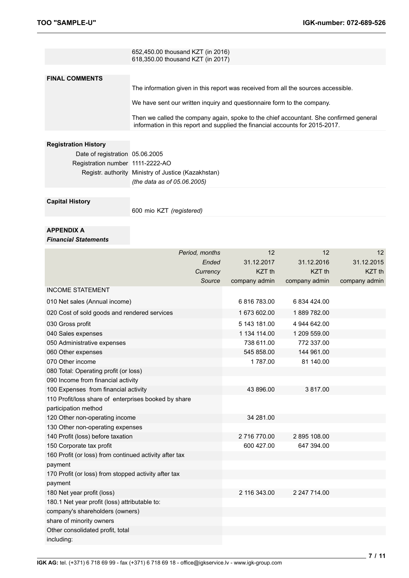|                                  | 652,450.00 thousand KZT (in 2016)<br>618,350.00 thousand KZT (in 2017)                                                                                                  |
|----------------------------------|-------------------------------------------------------------------------------------------------------------------------------------------------------------------------|
|                                  |                                                                                                                                                                         |
| <b>FINAL COMMENTS</b>            |                                                                                                                                                                         |
|                                  | The information given in this report was received from all the sources accessible.                                                                                      |
|                                  | We have sent our written inquiry and questionnaire form to the company.                                                                                                 |
|                                  | Then we called the company again, spoke to the chief accountant. She confirmed general<br>information in this report and supplied the financial accounts for 2015-2017. |
|                                  |                                                                                                                                                                         |
| <b>Registration History</b>      |                                                                                                                                                                         |
| Date of registration 05.06.2005  |                                                                                                                                                                         |
| Registration number 1111-2222-AO |                                                                                                                                                                         |
|                                  | Registr. authority Ministry of Justice (Kazakhstan)                                                                                                                     |
|                                  | (the data as of 05.06.2005)                                                                                                                                             |
|                                  |                                                                                                                                                                         |
| <b>Capital History</b>           |                                                                                                                                                                         |
|                                  | 600 mio KZT (registered)                                                                                                                                                |
|                                  |                                                                                                                                                                         |
| APPENDIX A                       |                                                                                                                                                                         |

#### *Financial Statements*

| Period, months                                         |        | 12                | 12                | 12                |
|--------------------------------------------------------|--------|-------------------|-------------------|-------------------|
|                                                        | Ended  | 31.12.2017        | 31.12.2016        | 31.12.2015        |
| Currency                                               |        | KZT <sub>th</sub> | KZT <sub>th</sub> | KZT <sub>th</sub> |
|                                                        | Source | company admin     | company admin     | company admin     |
| <b>INCOME STATEMENT</b>                                |        |                   |                   |                   |
| 010 Net sales (Annual income)                          |        | 6816783.00        | 6 834 424.00      |                   |
| 020 Cost of sold goods and rendered services           |        | 1 673 602.00      | 1889 782.00       |                   |
| 030 Gross profit                                       |        | 5 143 181.00      | 4 944 642.00      |                   |
| 040 Sales expenses                                     |        | 1 134 114.00      | 1 209 559.00      |                   |
| 050 Administrative expenses                            |        | 738 611.00        | 772 337.00        |                   |
| 060 Other expenses                                     |        | 545 858.00        | 144 961.00        |                   |
| 070 Other income                                       |        | 1787.00           | 81 140.00         |                   |
| 080 Total: Operating profit (or loss)                  |        |                   |                   |                   |
| 090 Income from financial activity                     |        |                   |                   |                   |
| 100 Expenses from financial activity                   |        | 43 896.00         | 3817.00           |                   |
| 110 Profit/loss share of enterprises booked by share   |        |                   |                   |                   |
| participation method                                   |        |                   |                   |                   |
| 120 Other non-operating income                         |        | 34 281.00         |                   |                   |
| 130 Other non-operating expenses                       |        |                   |                   |                   |
| 140 Profit (loss) before taxation                      |        | 2716770.00        | 2895 108.00       |                   |
| 150 Corporate tax profit                               |        | 600 427.00        | 647 394.00        |                   |
| 160 Profit (or loss) from continued activity after tax |        |                   |                   |                   |
| payment                                                |        |                   |                   |                   |
| 170 Profit (or loss) from stopped activity after tax   |        |                   |                   |                   |
| payment                                                |        |                   |                   |                   |
| 180 Net year profit (loss)                             |        | 2 116 343.00      | 2 247 714.00      |                   |
| 180.1 Net year profit (loss) attributable to:          |        |                   |                   |                   |
| company's shareholders (owners)                        |        |                   |                   |                   |
| share of minority owners                               |        |                   |                   |                   |
| Other consolidated profit, total                       |        |                   |                   |                   |
| including:                                             |        |                   |                   |                   |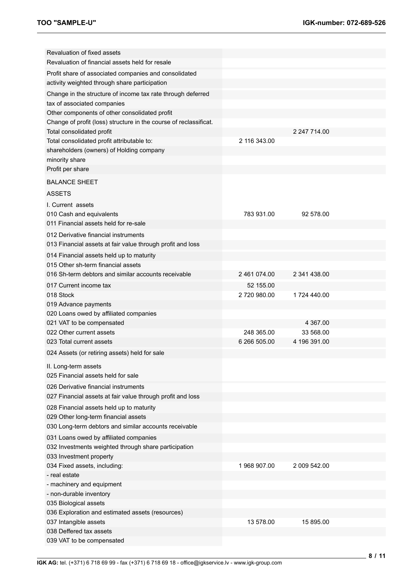| Revaluation of fixed assets<br>Revaluation of financial assets held for resale |              |              |  |
|--------------------------------------------------------------------------------|--------------|--------------|--|
| Profit share of associated companies and consolidated                          |              |              |  |
| activity weighted through share participation                                  |              |              |  |
| Change in the structure of income tax rate through deferred                    |              |              |  |
| tax of associated companies                                                    |              |              |  |
| Other components of other consolidated profit                                  |              |              |  |
| Change of profit (loss) structure in the course of reclassificat.              |              |              |  |
| Total consolidated profit                                                      |              | 2 247 714.00 |  |
| Total consolidated profit attributable to:                                     | 2 116 343.00 |              |  |
| shareholders (owners) of Holding company                                       |              |              |  |
| minority share<br>Profit per share                                             |              |              |  |
|                                                                                |              |              |  |
| <b>BALANCE SHEET</b>                                                           |              |              |  |
| <b>ASSETS</b>                                                                  |              |              |  |
| I. Current assets                                                              |              |              |  |
| 010 Cash and equivalents                                                       | 783 931.00   | 92 578.00    |  |
| 011 Financial assets held for re-sale                                          |              |              |  |
| 012 Derivative financial instruments                                           |              |              |  |
| 013 Financial assets at fair value through profit and loss                     |              |              |  |
| 014 Financial assets held up to maturity                                       |              |              |  |
| 015 Other sh-term financial assets                                             |              |              |  |
| 016 Sh-term debtors and similar accounts receivable                            | 2 461 074.00 | 2 341 438.00 |  |
| 017 Current income tax                                                         | 52 155.00    |              |  |
| 018 Stock                                                                      | 2720980.00   | 1724 440.00  |  |
| 019 Advance payments                                                           |              |              |  |
| 020 Loans owed by affiliated companies                                         |              |              |  |
| 021 VAT to be compensated                                                      |              | 4 367.00     |  |
| 022 Other current assets                                                       | 248 365.00   | 33 568.00    |  |
| 023 Total current assets                                                       | 6 266 505.00 | 4 196 391.00 |  |
| 024 Assets (or retiring assets) held for sale                                  |              |              |  |
| II. Long-term assets                                                           |              |              |  |
| 025 Financial assets held for sale                                             |              |              |  |
| 026 Derivative financial instruments                                           |              |              |  |
| 027 Financial assets at fair value through profit and loss                     |              |              |  |
| 028 Financial assets held up to maturity                                       |              |              |  |
| 029 Other long-term financial assets                                           |              |              |  |
| 030 Long-term debtors and similar accounts receivable                          |              |              |  |
| 031 Loans owed by affiliated companies                                         |              |              |  |
| 032 Investments weighted through share participation                           |              |              |  |
| 033 Investment property                                                        |              |              |  |
| 034 Fixed assets, including:                                                   | 1 968 907.00 | 2 009 542.00 |  |
| - real estate                                                                  |              |              |  |
| - machinery and equipment                                                      |              |              |  |
| - non-durable inventory                                                        |              |              |  |
| 035 Biological assets                                                          |              |              |  |
| 036 Exploration and estimated assets (resources)                               |              |              |  |
| 037 Intangible assets                                                          | 13 578.00    | 15 895.00    |  |
| 038 Deffered tax assets                                                        |              |              |  |
| 039 VAT to be compensated                                                      |              |              |  |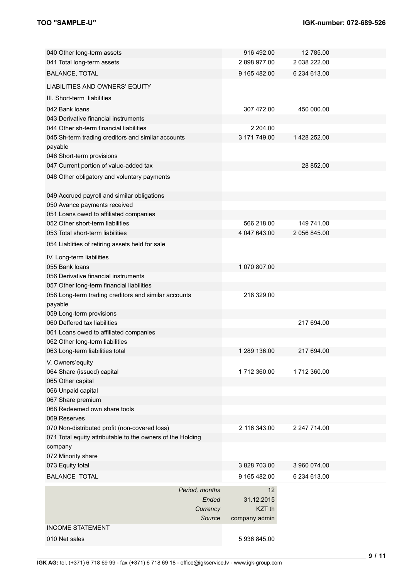| 040 Other long-term assets                                 |                | 916 492.00        | 12 785.00    |  |
|------------------------------------------------------------|----------------|-------------------|--------------|--|
| 041 Total long-term assets                                 |                | 2898977.00        | 2 038 222.00 |  |
| <b>BALANCE, TOTAL</b>                                      |                | 9 165 482.00      | 6 234 613.00 |  |
| LIABILITIES AND OWNERS' EQUITY                             |                |                   |              |  |
| III. Short-term liabilities                                |                |                   |              |  |
| 042 Bank loans                                             |                | 307 472.00        | 450 000.00   |  |
| 043 Derivative financial instruments                       |                |                   |              |  |
| 044 Other sh-term financial liabilities                    |                | 2 204.00          |              |  |
| 045 Sh-term trading creditors and similar accounts         |                | 3 171 749.00      | 1 428 252.00 |  |
| payable                                                    |                |                   |              |  |
| 046 Short-term provisions                                  |                |                   |              |  |
| 047 Current portion of value-added tax                     |                |                   | 28 852.00    |  |
| 048 Other obligatory and voluntary payments                |                |                   |              |  |
| 049 Accrued payroll and similar obligations                |                |                   |              |  |
| 050 Avance payments received                               |                |                   |              |  |
| 051 Loans owed to affiliated companies                     |                |                   |              |  |
| 052 Other short-term liabilities                           |                | 566 218.00        | 149 741.00   |  |
| 053 Total short-term liabilities                           |                | 4 047 643.00      | 2 056 845.00 |  |
| 054 Liablities of retiring assets held for sale            |                |                   |              |  |
| IV. Long-term liabilities                                  |                |                   |              |  |
| 055 Bank loans                                             |                | 1 070 807.00      |              |  |
| 056 Derivative financial instruments                       |                |                   |              |  |
| 057 Other long-term financial liabilities                  |                |                   |              |  |
| 058 Long-term trading creditors and similar accounts       |                | 218 329.00        |              |  |
| payable                                                    |                |                   |              |  |
| 059 Long-term provisions                                   |                |                   |              |  |
| 060 Deffered tax liabilities                               |                |                   | 217 694.00   |  |
| 061 Loans owed to affiliated companies                     |                |                   |              |  |
| 062 Other long-term liabilities                            |                |                   |              |  |
| 063 Long-term liabilities total                            |                | 1 289 136.00      | 217 694.00   |  |
|                                                            |                |                   |              |  |
| V. Owners'equity                                           |                |                   |              |  |
| 064 Share (issued) capital                                 |                | 1712 360.00       | 1712 360.00  |  |
| 065 Other capital                                          |                |                   |              |  |
| 066 Unpaid capital                                         |                |                   |              |  |
| 067 Share premium<br>068 Redeemed own share tools          |                |                   |              |  |
| 069 Reserves                                               |                |                   |              |  |
|                                                            |                | 2 116 343.00      | 2 247 714.00 |  |
| 070 Non-distributed profit (non-covered loss)              |                |                   |              |  |
| 071 Total equity attributable to the owners of the Holding |                |                   |              |  |
| company                                                    |                |                   |              |  |
| 072 Minority share                                         |                |                   |              |  |
| 073 Equity total                                           |                | 3 828 703.00      | 3 960 074.00 |  |
| <b>BALANCE TOTAL</b>                                       |                | 9 165 482.00      | 6 234 613.00 |  |
|                                                            | Period, months | 12                |              |  |
|                                                            | Ended          | 31.12.2015        |              |  |
|                                                            | Currency       | KZT <sub>th</sub> |              |  |
|                                                            | Source         | company admin     |              |  |
| <b>INCOME STATEMENT</b>                                    |                |                   |              |  |
| 010 Net sales                                              |                | 5936845.00        |              |  |
|                                                            |                |                   |              |  |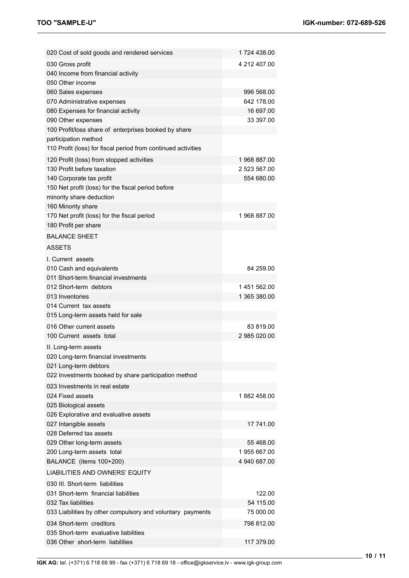| 020 Cost of sold goods and rendered services                            | 1724 438.00  |
|-------------------------------------------------------------------------|--------------|
| 030 Gross profit                                                        | 4 212 407.00 |
| 040 Income from financial activity                                      |              |
| 050 Other income                                                        |              |
| 060 Sales expenses                                                      | 996 568.00   |
| 070 Administrative expenses                                             | 642 178.00   |
| 080 Expenses for financial activity                                     | 16 697.00    |
| 090 Other expenses                                                      | 33 397.00    |
| 100 Profit/loss share of enterprises booked by share                    |              |
| participation method                                                    |              |
| 110 Profit (loss) for fiscal period from continued activities           |              |
| 120 Profit (loss) from stopped activities                               | 1968 887.00  |
| 130 Profit before taxation                                              | 2 523 567.00 |
| 140 Corporate tax profit                                                | 554 680.00   |
| 150 Net profit (loss) for the fiscal period before                      |              |
| minority share deduction                                                |              |
| 160 Minority share                                                      |              |
| 170 Net profit (loss) for the fiscal period                             | 1968 887.00  |
| 180 Profit per share                                                    |              |
| <b>BALANCE SHEET</b>                                                    |              |
| <b>ASSETS</b>                                                           |              |
| I. Current assets                                                       |              |
| 010 Cash and equivalents                                                | 84 259.00    |
| 011 Short-term financial investments                                    |              |
| 012 Short-term debtors                                                  | 1451562.00   |
| 013 Inventories                                                         | 1 365 380.00 |
| 014 Current tax assets                                                  |              |
| 015 Long-term assets held for sale                                      |              |
| 016 Other current assets                                                | 83 819.00    |
| 100 Current assets total                                                | 2 985 020.00 |
| II. Long-term assets                                                    |              |
| 020 Long-term financial investments                                     |              |
| 021 Long-term debtors                                                   |              |
| 022 Investments booked by share participation method                    |              |
| 023 Investments in real estate                                          |              |
| 024 Fixed assets                                                        | 1882 458.00  |
| 025 Biological assets                                                   |              |
| 026 Explorative and evaluative assets                                   |              |
| 027 Intangible assets                                                   | 17 741.00    |
| 028 Deferred tax assets                                                 |              |
| 029 Other long-term assets                                              | 55 468.00    |
| 200 Long-term assets total                                              | 1955 667.00  |
| BALANCE (items 100+200)                                                 | 4 940 687.00 |
| <b>LIABILITIES AND OWNERS' EQUITY</b>                                   |              |
|                                                                         |              |
| 030 III. Short-term liabilities<br>031 Short-term financial liabilities | 122.00       |
| 032 Tax liabilities                                                     | 54 115.00    |
| 033 Liabilities by other compulsory and voluntary payments              | 75 000.00    |
|                                                                         |              |
| 034 Short-term creditors                                                | 798 812.00   |
| 035 Short-term evaluative liabilities                                   |              |
| 036 Other short-term liabilities                                        | 117 379.00   |